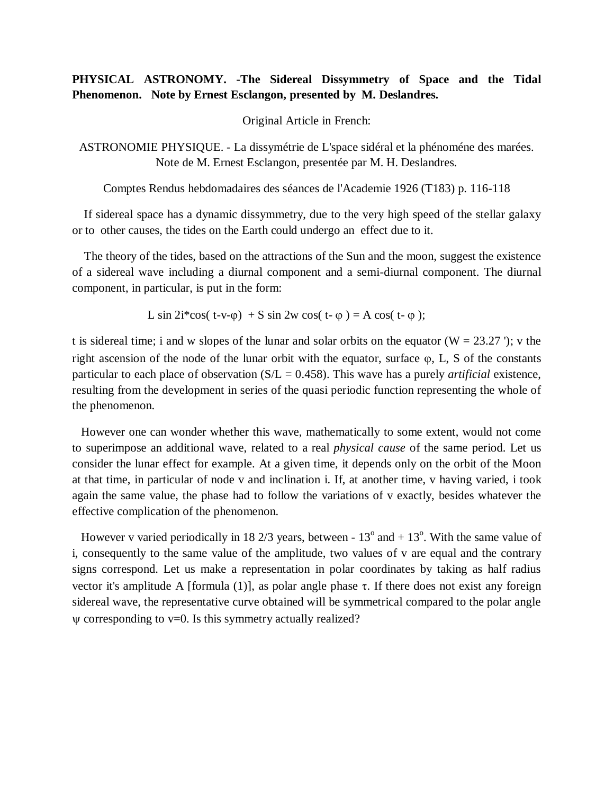## **PHYSICAL ASTRONOMY. -The Sidereal Dissymmetry of Space and the Tidal Phenomenon. Note by Ernest Esclangon, presented by M. Deslandres.**

Original Article in French:

ASTRONOMIE PHYSIQUE. - La dissymétrie de L'space sidéral et la phénoméne des marées. Note de M. Ernest Esclangon, presentée par M. H. Deslandres.

Comptes Rendus hebdomadaires des séances de l'Academie 1926 (T183) p. 116-118

 If sidereal space has a dynamic dissymmetry, due to the very high speed of the stellar galaxy or to other causes, the tides on the Earth could undergo an effect due to it.

 The theory of the tides, based on the attractions of the Sun and the moon, suggest the existence of a sidereal wave including a diurnal component and a semi-diurnal component. The diurnal component, in particular, is put in the form:

L sin  $2i^*cos(t-v-0)$  + S sin 2w cos( t-  $\varphi$ ) = A cos( t-  $\varphi$ );

t is sidereal time; i and w slopes of the lunar and solar orbits on the equator ( $W = 23.27$ ); v the right ascension of the node of the lunar orbit with the equator, surface  $\varphi$ , L, S of the constants particular to each place of observation (S/L = 0.458). This wave has a purely *artificial* existence, resulting from the development in series of the quasi periodic function representing the whole of the phenomenon.

 However one can wonder whether this wave, mathematically to some extent, would not come to superimpose an additional wave, related to a real *physical cause* of the same period. Let us consider the lunar effect for example. At a given time, it depends only on the orbit of the Moon at that time, in particular of node v and inclination i. If, at another time, v having varied, i took again the same value, the phase had to follow the variations of v exactly, besides whatever the effective complication of the phenomenon.

However v varied periodically in 18 2/3 years, between -  $13^{\circ}$  and +  $13^{\circ}$ . With the same value of i, consequently to the same value of the amplitude, two values of v are equal and the contrary signs correspond. Let us make a representation in polar coordinates by taking as half radius vector it's amplitude A [formula (1)], as polar angle phase  $\tau$ . If there does not exist any foreign sidereal wave, the representative curve obtained will be symmetrical compared to the polar angle  $\psi$  corresponding to v=0. Is this symmetry actually realized?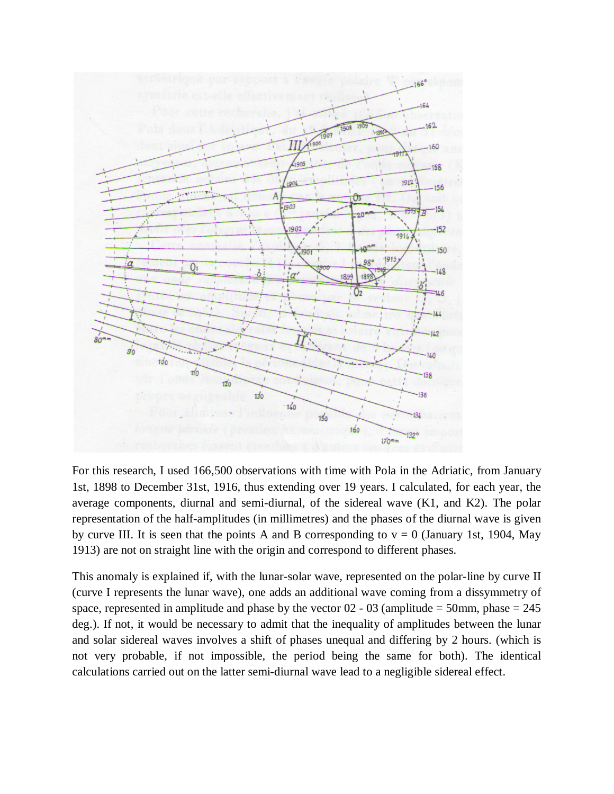

For this research, I used 166,500 observations with time with Pola in the Adriatic, from January 1st, 1898 to December 31st, 1916, thus extending over 19 years. I calculated, for each year, the average components, diurnal and semi-diurnal, of the sidereal wave (K1, and K2). The polar representation of the half-amplitudes (in millimetres) and the phases of the diurnal wave is given by curve III. It is seen that the points A and B corresponding to  $v = 0$  (January 1st, 1904, May 1913) are not on straight line with the origin and correspond to different phases.

This anomaly is explained if, with the lunar-solar wave, represented on the polar-line by curve II (curve I represents the lunar wave), one adds an additional wave coming from a dissymmetry of space, represented in amplitude and phase by the vector  $02 - 03$  (amplitude = 50mm, phase = 245 deg.). If not, it would be necessary to admit that the inequality of amplitudes between the lunar and solar sidereal waves involves a shift of phases unequal and differing by 2 hours. (which is not very probable, if not impossible, the period being the same for both). The identical calculations carried out on the latter semi-diurnal wave lead to a negligible sidereal effect.